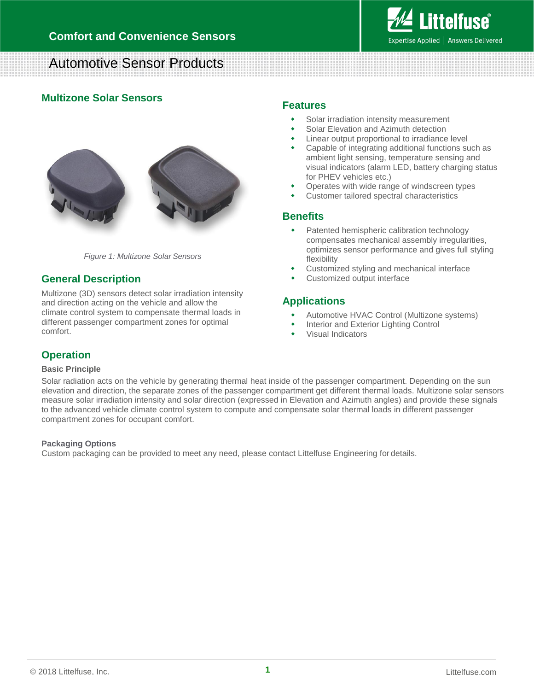

# Automotive Sensor Products

## **Multizone Solar Sensors**



*Figure 1: Multizone Solar Sensors*

## **General Description**

Multizone (3D) sensors detect solar irradiation intensity and direction acting on the vehicle and allow the climate control system to compensate thermal loads in different passenger compartment zones for optimal comfort.

### **Features**

- Solar irradiation intensity measurement
- Solar Elevation and Azimuth detection
- Linear output proportional to irradiance level
- Capable of integrating additional functions such as ambient light sensing, temperature sensing and visual indicators (alarm LED, battery charging status for PHEV vehicles etc.)
- Operates with wide range of windscreen types
- Customer tailored spectral characteristics

### **Benefits**

- Patented hemispheric calibration technology compensates mechanical assembly irregularities, optimizes sensor performance and gives full styling flexibility
- Customized styling and mechanical interface
- Customized output interface

## **Applications**

- Automotive HVAC Control (Multizone systems)
- Interior and Exterior Lighting Control
- Visual Indicators

## **Operation**

#### **Basic Principle**

Solar radiation acts on the vehicle by generating thermal heat inside of the passenger compartment. Depending on the sun elevation and direction, the separate zones of the passenger compartment get different thermal loads. Multizone solar sensors measure solar irradiation intensity and solar direction (expressed in Elevation and Azimuth angles) and provide these signals to the advanced vehicle climate control system to compute and compensate solar thermal loads in different passenger compartment zones for occupant comfort.

#### **Packaging Options**

Custom packaging can be provided to meet any need, please contact Littelfuse Engineering for details.